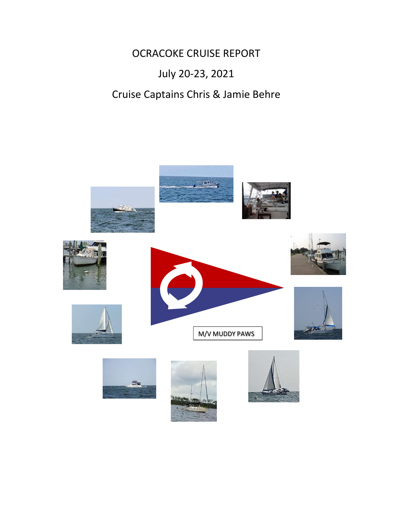OCRACOKE CRUISE REPORT July 20-23, 2021 Cruise Captains Chris & Jamie Behre

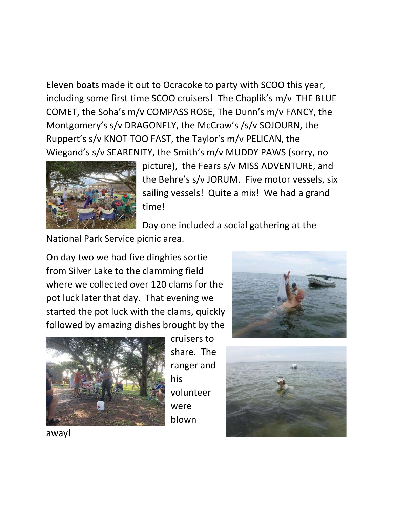Eleven boats made it out to Ocracoke to party with SCOO this year, including some first time SCOO cruisers! The Chaplik's m/v THE BLUE COMET, the Soha's m/v COMPASS ROSE, The Dunn's m/v FANCY, the Montgomery's s/v DRAGONFLY, the McCraw's /s/v SOJOURN, the Ruppert's s/v KNOT TOO FAST, the Taylor's m/v PELICAN, the Wiegand's s/v SEARENITY, the Smith's m/v MUDDY PAWS (sorry, no



picture), the Fears s/v MISS ADVENTURE, and the Behre's s/v JORUM. Five motor vessels, six sailing vessels! Quite a mix! We had a grand time!

Day one included a social gathering at the

National Park Service picnic area.

On day two we had five dinghies sortie from Silver Lake to the clamming field where we collected over 120 clams for the pot luck later that day. That evening we started the pot luck with the clams, quickly followed by amazing dishes brought by the



cruisers to share. The ranger and his volunteer were blown





away!